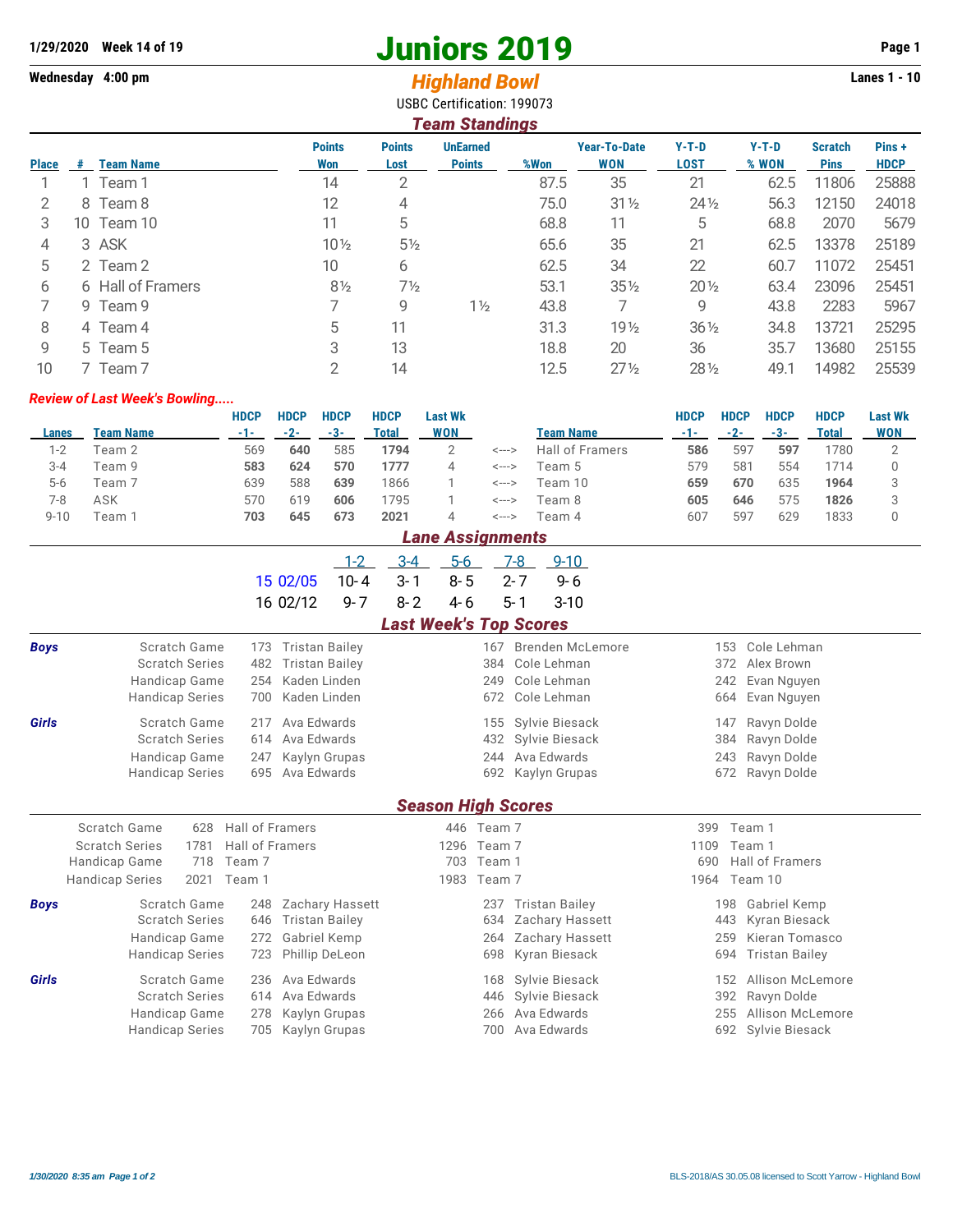## **1/29/2020** Week 14 of 19<br> **1/29/2020** Week 14 of 19<br> **1/4/29/2020** Week 14 of 19<br> **1/4/29/2020** Week 14 of 19<br> **1/4/29/2020** Page 1<br> **1/4/29/2020** Page 1<br> **1/4/29/2020** Page 1<br> **1/4/29/2020** Page 1

## Wednesday 4:00 pm<br> **Highland Bowl**

USBC Certification: 199073

|              | <b>Team Standings</b> |                   |                      |                       |                                  |      |                                   |                        |                  |                               |                       |  |  |  |
|--------------|-----------------------|-------------------|----------------------|-----------------------|----------------------------------|------|-----------------------------------|------------------------|------------------|-------------------------------|-----------------------|--|--|--|
| <b>Place</b> | #                     | <b>Team Name</b>  | <b>Points</b><br>Won | <b>Points</b><br>Lost | <b>UnEarned</b><br><b>Points</b> | %Won | <b>Year-To-Date</b><br><b>WON</b> | $Y-T-D$<br><b>LOST</b> | $Y-T-D$<br>% WON | <b>Scratch</b><br><b>Pins</b> | Pins +<br><b>HDCP</b> |  |  |  |
|              |                       | 1 Team 1          | 14                   | 2                     |                                  | 87.5 | 35                                | 21                     | 62.5             | 11806                         | 25888                 |  |  |  |
| 2            |                       | 8 Team 8          | 12                   | 4                     |                                  | 75.0 | $31\frac{1}{2}$                   | $24\frac{1}{2}$        | 56.3             | 12150                         | 24018                 |  |  |  |
| 3            | 10 -                  | Team 10           | 11                   | 5                     |                                  | 68.8 | 11                                | 5                      | 68.8             | 2070                          | 5679                  |  |  |  |
| 4            |                       | 3 ASK             | $10\frac{1}{2}$      | $5\frac{1}{2}$        |                                  | 65.6 | 35                                | 21                     | 62.5             | 13378                         | 25189                 |  |  |  |
| 5            |                       | 2 Team 2          | 10                   | 6                     |                                  | 62.5 | 34                                | 22                     | 60.7             | 11072                         | 25451                 |  |  |  |
| 6            |                       | 6 Hall of Framers | $8\frac{1}{2}$       | $7\frac{1}{2}$        |                                  | 53.1 | $35\%$                            | $20\%$                 | 63.4             | 23096                         | 25451                 |  |  |  |
|              |                       | 9 Team 9          |                      | 9                     | $1\frac{1}{2}$                   | 43.8 | 7                                 | 9                      | 43.8             | 2283                          | 5967                  |  |  |  |
| 8            |                       | 4 Team 4          | 5                    | 11                    |                                  | 31.3 | 19 <sub>2</sub>                   | $36\frac{1}{2}$        | 34.8             | 13721                         | 25295                 |  |  |  |
| 9            |                       | 5 Team 5          | 3                    | 13                    |                                  | 18.8 | 20                                | 36                     | 35.7             | 13680                         | 25155                 |  |  |  |
| 10           |                       | 7 Team 7          | 2                    | 14                    |                                  | 12.5 | $27\frac{1}{2}$                   | 28 1/2                 | 49.1             | 14982                         | 25539                 |  |  |  |

## *Review of Last Week's Bowling.....*

|          |           | <b>HDCP</b> | <b>HDCP</b> | <b>HDCP</b> | <b>HDCP</b> | <b>Last Wk</b> |       |                 | HDCP | <b>HDCP</b> | <b>HDCP</b> | <b>HDCP</b> | <b>Last Wk</b> |
|----------|-----------|-------------|-------------|-------------|-------------|----------------|-------|-----------------|------|-------------|-------------|-------------|----------------|
| Lanes    | Team Name | -1-         | -2-         | -3-         | Total       | WON            |       | Team Name       |      | -2-         | -3-         | Total       | WON            |
| 1-2      | Team 2    | 569         | 640         | 585         | 1794        |                | <---> | Hall of Framers | 586  | 597         | 597         | 780         |                |
| 3-4      | Team 9    | 583         | 624         | 570         | 1777        | 4              | <---> | Геат 5          | 579  | 581         | 554         | 714         |                |
| $5-6$    | Team 7    | 639         | 588         | 639         | 1866        |                | <---> | Team 10         | 659  | 670         | 635         | 1964        |                |
| 7-8      | ASK       | 570         | 619         | 606         | 795         |                | <---> | Team 8          | 605  | 646         | 575         | 1826        |                |
| $9 - 10$ | Геаm ́    | 703         | 645         | 673         | 2021        | 4              | <---> | Feam 4          | 607  | 597         | 629         | 1833        |                |

|                           | <b>Lane Assignments</b>        |                 |                       |                 |                               |         |            |         |                       |      |     |                       |
|---------------------------|--------------------------------|-----------------|-----------------------|-----------------|-------------------------------|---------|------------|---------|-----------------------|------|-----|-----------------------|
|                           |                                |                 |                       | $1 - 2$         | $3 - 4$                       | $5-6$   |            | $7-8$   | $9 - 10$              |      |     |                       |
|                           |                                |                 | 15 02/05              | $10 - 4$        | $3 - 1$                       | $8 - 5$ |            | $2 - 7$ | $9 - 6$               |      |     |                       |
|                           |                                |                 | 16 02/12              | $9 - 7$         | $8 - 2$                       | 4-6     |            | $5 - 1$ | $3 - 10$              |      |     |                       |
|                           |                                |                 |                       |                 | <b>Last Week's Top Scores</b> |         |            |         |                       |      |     |                       |
| <b>Boys</b>               | Scratch Game                   | 173             | <b>Tristan Bailey</b> |                 |                               |         | 167        |         | Brenden McLemore      |      | 153 | Cole Lehman           |
|                           | <b>Scratch Series</b>          | 482             | <b>Tristan Bailey</b> |                 |                               |         | 384        |         | Cole Lehman           |      | 372 | Alex Brown            |
|                           | Handicap Game                  | 254             | Kaden Linden          |                 |                               |         | 249        |         | Cole Lehman           |      | 242 | Evan Nguyen           |
|                           | <b>Handicap Series</b>         | 700             | Kaden Linden          |                 |                               |         | 672        |         | Cole Lehman           |      | 664 | Evan Nguyen           |
| Girls                     | Scratch Game                   | 217             | Ava Edwards           |                 |                               |         | 155        |         | Sylvie Biesack        |      | 147 | Ravyn Dolde           |
|                           | <b>Scratch Series</b>          | 614             | Ava Edwards           |                 |                               |         | 432        |         | Sylvie Biesack        |      | 384 | Ravyn Dolde           |
|                           | Handicap Game                  | 247             | Kaylyn Grupas         |                 |                               |         | 244        |         | Ava Edwards           |      | 243 | Ravyn Dolde           |
|                           | <b>Handicap Series</b>         | 695             | Ava Edwards           |                 |                               |         | 692        |         | Kaylyn Grupas         |      | 672 | Ravyn Dolde           |
| <b>Season High Scores</b> |                                |                 |                       |                 |                               |         |            |         |                       |      |     |                       |
|                           | Scratch Game<br>628            | Hall of Framers |                       |                 |                               |         | 446 Team 7 |         |                       | 399  |     | Team 1                |
|                           | <b>Scratch Series</b><br>1781  | Hall of Framers |                       |                 |                               | 1296    | Team 7     |         |                       | 1109 |     | Team 1                |
|                           | 718<br>Handicap Game           | Team 7          |                       |                 |                               | 703     | Team 1     |         |                       | 690  |     | Hall of Framers       |
|                           | 2021<br><b>Handicap Series</b> | Team 1          |                       |                 |                               | 1983    | Team 7     |         |                       | 1964 |     | Team 10               |
| <b>Boys</b>               | Scratch Game                   | 248             |                       | Zachary Hassett |                               |         | 237        |         | <b>Tristan Bailey</b> |      | 198 | Gabriel Kemp          |
|                           | <b>Scratch Series</b>          | 646             | <b>Tristan Bailey</b> |                 |                               |         | 634        |         | Zachary Hassett       |      | 443 | Kyran Biesack         |
|                           | Handicap Game                  | 272             | Gabriel Kemp          |                 |                               |         | 264        |         | Zachary Hassett       |      | 259 | Kieran Tomasco        |
|                           | <b>Handicap Series</b>         | 723             | Phillip DeLeon        |                 |                               |         | 698        |         | Kyran Biesack         |      | 694 | <b>Tristan Bailey</b> |
| <b>Girls</b>              | Scratch Game                   | 236             | Ava Edwards           |                 |                               |         | 168        |         | Sylvie Biesack        |      | 152 | Allison McLemore      |
|                           | <b>Scratch Series</b>          | 614             | Ava Edwards           |                 |                               |         | 446        |         | Sylvie Biesack        |      | 392 | Ravyn Dolde           |
|                           | Handicap Game                  | 278             | Kaylyn Grupas         |                 |                               |         | 266        |         | Ava Edwards           |      | 255 | Allison McLemore      |
|                           | <b>Handicap Series</b>         | 705             | Kaylyn Grupas         |                 |                               |         | 700        |         | Ava Edwards           |      |     | 692 Sylvie Biesack    |
|                           |                                |                 |                       |                 |                               |         |            |         |                       |      |     |                       |